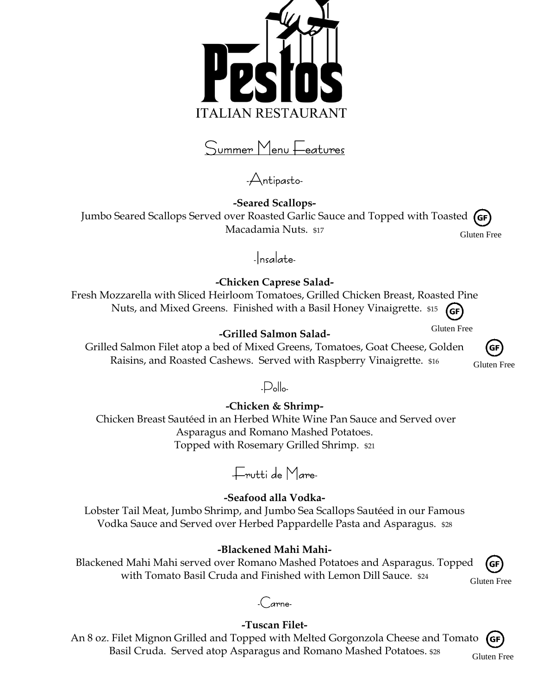

Summer Menu Features

-Antipasto-

**-Seared Scallops-**Jumbo Seared Scallops Served over Roasted Garlic Sauce and Topped with Toasted (GF Macadamia Nuts. \$17

Gluten Free

-Insalate-

**-Chicken Caprese Salad-**

Fresh Mozzarella with Sliced Heirloom Tomatoes, Grilled Chicken Breast, Roasted Pine Nuts, and Mixed Greens. Finished with a Basil Honey Vinaigrette. \$15 **GF** 

Gluten Free

### **-Grilled Salmon Salad-**

Grilled Salmon Filet atop a bed of Mixed Greens, Tomatoes, Goat Cheese, Golden Raisins, and Roasted Cashews. Served with Raspberry Vinaigrette. \$16

**GF** Gluten Free

## -Pollo-

**-Chicken & Shrimp-**Chicken Breast Sautéed in an Herbed White Wine Pan Sauce and Served over Asparagus and Romano Mashed Potatoes. Topped with Rosemary Grilled Shrimp. \$21



### **-Seafood alla Vodka-**

Lobster Tail Meat, Jumbo Shrimp, and Jumbo Sea Scallops Sautéed in our Famous Vodka Sauce and Served over Herbed Pappardelle Pasta and Asparagus. \$28

### **-Blackened Mahi Mahi-**

Blackened Mahi Mahi served over Romano Mashed Potatoes and Asparagus. Topped with Tomato Basil Cruda and Finished with Lemon Dill Sauce. \$24 Gluten Free



# -Carne-

### **-Tuscan Filet-**

An 8 oz. Filet Mignon Grilled and Topped with Melted Gorgonzola Cheese and Tomato (GF Basil Cruda. Served atop Asparagus and Romano Mashed Potatoes. \$28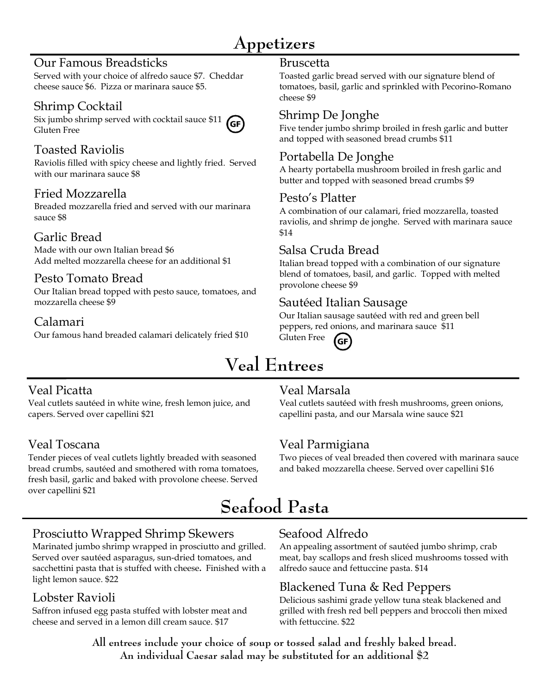# **Appetizers**

### Our Famous Breadsticks

Served with your choice of alfredo sauce \$7. Cheddar cheese sauce \$6. Pizza or marinara sauce \$5.

# Shrimp Cocktail

Gluten Free

Six jumbo shrimp served with cocktail sauce \$11  $(GF)$ 

# Toasted Raviolis

Raviolis filled with spicy cheese and lightly fried. Served with our marinara sauce \$8

## Fried Mozzarella

Breaded mozzarella fried and served with our marinara sauce \$8

## Garlic Bread

Made with our own Italian bread \$6 Add melted mozzarella cheese for an additional \$1

# Pesto Tomato Bread

Our Italian bread topped with pesto sauce, tomatoes, and mozzarella cheese \$9

### Calamari

Our famous hand breaded calamari delicately fried \$10

#### Bruscetta

Toasted garlic bread served with our signature blend of tomatoes, basil, garlic and sprinkled with Pecorino-Romano cheese \$9

### Shrimp De Jonghe

Five tender jumbo shrimp broiled in fresh garlic and butter and topped with seasoned bread crumbs \$11

## Portabella De Jonghe

A hearty portabella mushroom broiled in fresh garlic and butter and topped with seasoned bread crumbs \$9

### Pesto's Platter

A combination of our calamari, fried mozzarella, toasted raviolis, and shrimp de jonghe. Served with marinara sauce \$14

### Salsa Cruda Bread

Italian bread topped with a combination of our signature blend of tomatoes, basil, and garlic. Topped with melted provolone cheese \$9

### Sautéed Italian Sausage

Our Italian sausage sautéed with red and green bell peppers, red onions, and marinara sauce \$11 Gluten Free **GF** 

# **Veal Entrees**

# Veal Picatta

Veal cutlets sautéed in white wine, fresh lemon juice, and capers. Served over capellini \$21

# Veal Toscana

Tender pieces of veal cutlets lightly breaded with seasoned bread crumbs, sautéed and smothered with roma tomatoes, fresh basil, garlic and baked with provolone cheese. Served over capellini \$21

## Veal Marsala

Veal cutlets sautéed with fresh mushrooms, green onions, capellini pasta, and our Marsala wine sauce \$21

# Veal Parmigiana

Two pieces of veal breaded then covered with marinara sauce and baked mozzarella cheese. Served over capellini \$16

# **Seafood Pasta**

## Prosciutto Wrapped Shrimp Skewers

Marinated jumbo shrimp wrapped in prosciutto and grilled. Served over sautéed asparagus, sun-dried tomatoes, and sacchettini pasta that is stuffed with cheese**.** Finished with a light lemon sauce. \$22

## Lobster Ravioli

Saffron infused egg pasta stuffed with lobster meat and cheese and served in a lemon dill cream sauce. \$17

# Seafood Alfredo

An appealing assortment of sautéed jumbo shrimp, crab meat, bay scallops and fresh sliced mushrooms tossed with alfredo sauce and fettuccine pasta. \$14

## Blackened Tuna & Red Peppers

Delicious sashimi grade yellow tuna steak blackened and grilled with fresh red bell peppers and broccoli then mixed with fettuccine. \$22

**All entrees include your choice of soup or tossed salad and freshly baked bread. An individual Caesar salad may be substituted for an additional \$2**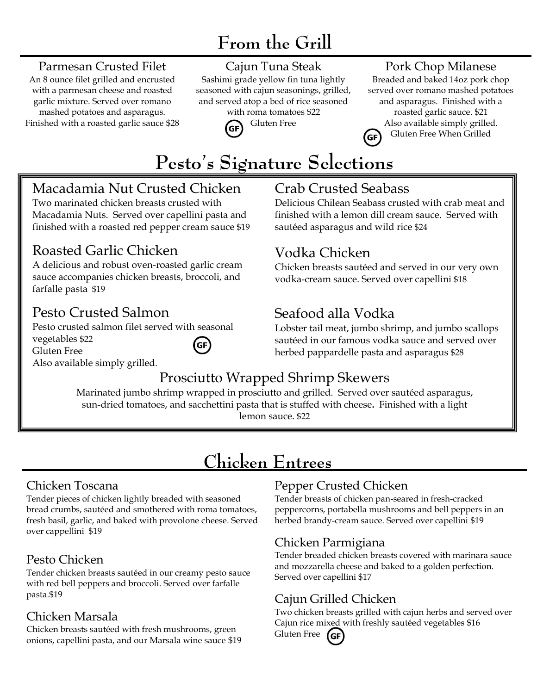# **From the Grill**

### Parmesan Crusted Filet

An 8 ounce filet grilled and encrusted with a parmesan cheese and roasted garlic mixture. Served over romano mashed potatoes and asparagus. Finished with a roasted garlic sauce \$28

# Cajun Tuna Steak

Sashimi grade yellow fin tuna lightly seasoned with cajun seasonings, grilled, and served atop a bed of rice seasoned with roma tomatoes \$22



### Pork Chop Milanese

Breaded and baked 14oz pork chop served over romano mashed potatoes and asparagus. Finished with a roasted garlic sauce. \$21 Also available simply grilled. Gluten Free When Grilled **GF** 



# Macadamia Nut Crusted Chicken

Two marinated chicken breasts crusted with Macadamia Nuts. Served over capellini pasta and finished with a roasted red pepper cream sauce \$19

# Roasted Garlic Chicken

A delicious and robust oven-roasted garlic cream sauce accompanies chicken breasts, broccoli, and farfalle pasta \$19

# Pesto Crusted Salmon

Pesto crusted salmon filet served with seasonal vegetables \$22  $(GF)$ Gluten Free Also available simply grilled.



Delicious Chilean Seabass crusted with crab meat and finished with a lemon dill cream sauce. Served with sautéed asparagus and wild rice \$24

# Vodka Chicken

Chicken breasts sautéed and served in our very own vodka-cream sauce. Served over capellini \$18

# Seafood alla Vodka

Lobster tail meat, jumbo shrimp, and jumbo scallops sautéed in our famous vodka sauce and served over herbed pappardelle pasta and asparagus \$28

# Prosciutto Wrapped Shrimp Skewers

Marinated jumbo shrimp wrapped in prosciutto and grilled. Served over sautéed asparagus, sun-dried tomatoes, and sacchettini pasta that is stuffed with cheese**.** Finished with a light lemon sauce. \$22

# **Chicken Entrees**

# Chicken Toscana

Tender pieces of chicken lightly breaded with seasoned bread crumbs, sautéed and smothered with roma tomatoes, fresh basil, garlic, and baked with provolone cheese. Served over cappellini \$19

# Pesto Chicken

Tender chicken breasts sautéed in our creamy pesto sauce with red bell peppers and broccoli. Served over farfalle pasta.\$19

# Chicken Marsala

Chicken breasts sautéed with fresh mushrooms, green onions, capellini pasta, and our Marsala wine sauce \$19

# Pepper Crusted Chicken

Tender breasts of chicken pan-seared in fresh-cracked peppercorns, portabella mushrooms and bell peppers in an herbed brandy-cream sauce. Served over capellini \$19

# Chicken Parmigiana

Tender breaded chicken breasts covered with marinara sauce and mozzarella cheese and baked to a golden perfection. Served over capellini \$17

# Cajun Grilled Chicken

Two chicken breasts grilled with cajun herbs and served over Cajun rice mixed with freshly sautéed vegetables \$16 Gluten Free  $(sF)$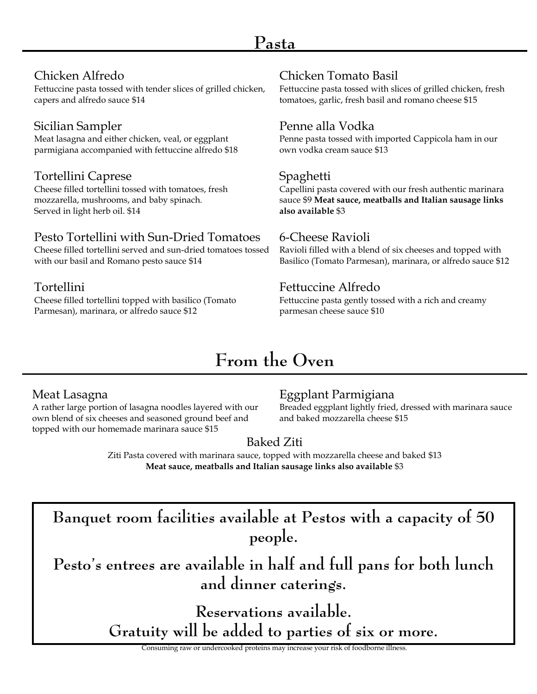### Chicken Alfredo

Fettuccine pasta tossed with tender slices of grilled chicken, capers and alfredo sauce \$14

# Sicilian Sampler

Meat lasagna and either chicken, veal, or eggplant parmigiana accompanied with fettuccine alfredo \$18

### Tortellini Caprese

Cheese filled tortellini tossed with tomatoes, fresh mozzarella, mushrooms, and baby spinach. Served in light herb oil. \$14

### Pesto Tortellini with Sun-Dried Tomatoes

Cheese filled tortellini served and sun-dried tomatoes tossed with our basil and Romano pesto sauce \$14

### Tortellini

Cheese filled tortellini topped with basilico (Tomato Parmesan), marinara, or alfredo sauce \$12

# Chicken Tomato Basil

Fettuccine pasta tossed with slices of grilled chicken, fresh tomatoes, garlic, fresh basil and romano cheese \$15

### Penne alla Vodka

Penne pasta tossed with imported Cappicola ham in our own vodka cream sauce \$13

### Spaghetti

Capellini pasta covered with our fresh authentic marinara sauce \$9 **Meat sauce, meatballs and Italian sausage links also available** \$3

### 6-Cheese Ravioli

Ravioli filled with a blend of six cheeses and topped with Basilico (Tomato Parmesan), marinara, or alfredo sauce \$12

### Fettuccine Alfredo

Fettuccine pasta gently tossed with a rich and creamy parmesan cheese sauce \$10

# **From the Oven**

### Meat Lasagna

A rather large portion of lasagna noodles layered with our own blend of six cheeses and seasoned ground beef and topped with our homemade marinara sauce \$15

## Eggplant Parmigiana

Breaded eggplant lightly fried, dressed with marinara sauce and baked mozzarella cheese \$15

# Baked Ziti

Ziti Pasta covered with marinara sauce, topped with mozzarella cheese and baked \$13 **Meat sauce, meatballs and Italian sausage links also available** \$3

**Banquet room facilities available at Pestos with a capacity of 50 people.** 

**Pesto's entrees are available in half and full pans for both lunch and dinner caterings.**

> **Reservations available. Gratuity will be added to parties of six or more.**

Consuming raw or undercooked proteins may increase your risk of foodborne illness.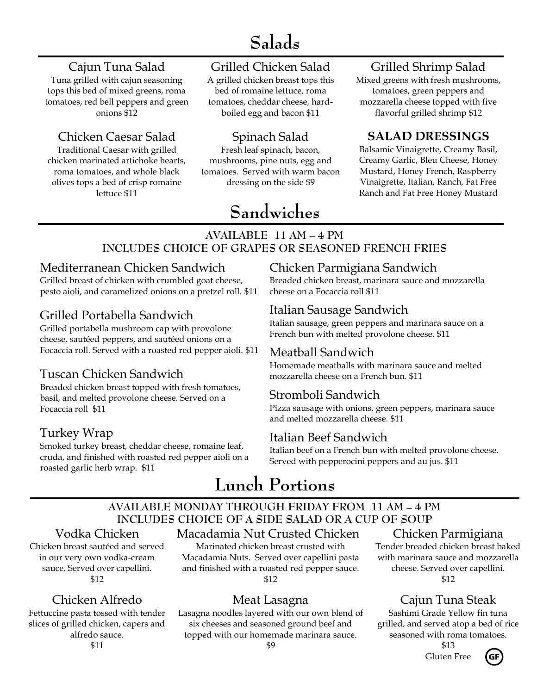# **Salads**

## Cajun Tuna Salad

Tuna grilled with cajun seasoning tops this bed of mixed greens, roma tomatoes, red bell peppers and green onions \$12

# Chicken Caesar Salad

Traditional Caesar with grilled chicken marinated artichoke hearts, roma tomatoes, and whole black olives tops a bed of crisp romaine lettuce \$11

## Grilled Chicken Salad

A grilled chicken breast tops this bed of romaine lettuce, roma tomatoes, cheddar cheese, hardboiled egg and bacon \$11

# Spinach Salad

Fresh leaf spinach, bacon, mushrooms, pine nuts, egg and tomatoes. Served with warm bacon dressing on the side \$9

### Grilled Shrimp Salad

Mixed greens with fresh mushrooms, tomatoes, green peppers and mozzarella cheese topped with five flavorful grilled shrimp \$12

### **SALAD DRESSINGS**

Balsamic Vinaigrette, Creamy Basil, Creamy Garlic, Bleu Cheese, Honey Mustard, Honey French, Raspberry Vinaigrette, Italian, Ranch, Fat Free Ranch and Fat Free Honey Mustard

# **Sandwiches**

#### **AVAILABLE 11 AM – 4 PM INCLUDES CHOICE OF GRAPES OR SEASONED FRENCH FRIES**

### Mediterranean Chicken Sandwich

Grilled breast of chicken with crumbled goat cheese, pesto aioli, and caramelized onions on a pretzel roll. \$11

### Grilled Portabella Sandwich

Grilled portabella mushroom cap with provolone cheese, sautéed peppers, and sautéed onions on a Focaccia roll. Served with a roasted red pepper aioli. \$11

### Tuscan Chicken Sandwich

Breaded chicken breast topped with fresh tomatoes, basil, and melted provolone cheese. Served on a Focaccia roll \$11

### Turkey Wrap

Smoked turkey breast, cheddar cheese, romaine leaf, cruda, and finished with roasted red pepper aioli on a roasted garlic herb wrap. \$11

### Chicken Parmigiana Sandwich

Breaded chicken breast, marinara sauce and mozzarella cheese on a Focaccia roll \$11

### Italian Sausage Sandwich

Italian sausage, green peppers and marinara sauce on a French bun with melted provolone cheese. \$11

### Meatball Sandwich

Homemade meatballs with marinara sauce and melted mozzarella cheese on a French bun. \$11

### Stromboli Sandwich

Pizza sausage with onions, green peppers, marinara sauce and melted mozzarella cheese. \$11

### Italian Beef Sandwich

Italian beef on a French bun with melted provolone cheese. Served with pepperocini peppers and au jus. \$11

# **Lunch Portions**

# **AVAILABLE MONDAY THROUGH FRIDAY FROM 11 AM – 4 PM INCLUDES CHOICE OF A SIDE SALAD OR A CUP OF SOUP**

### Vodka Chicken

Chicken breast sautéed and served in our very own vodka-cream sauce. Served over capellini. \$12

# Chicken Alfredo

Fettuccine pasta tossed with tender slices of grilled chicken, capers and alfredo sauce. \$11

### Macadamia Nut Crusted Chicken

Marinated chicken breast crusted with Macadamia Nuts. Served over capellini pasta and finished with a roasted red pepper sauce. \$12

### Meat Lasagna

Lasagna noodles layered with our own blend of six cheeses and seasoned ground beef and topped with our homemade marinara sauce. \$9

#### Chicken Parmigiana

Tender breaded chicken breast baked with marinara sauce and mozzarella cheese. Served over capellini. \$12

## Cajun Tuna Steak

Sashimi Grade Yellow fin tuna grilled, and served atop a bed of rice seasoned with roma tomatoes.

> \$13 Gluten Free